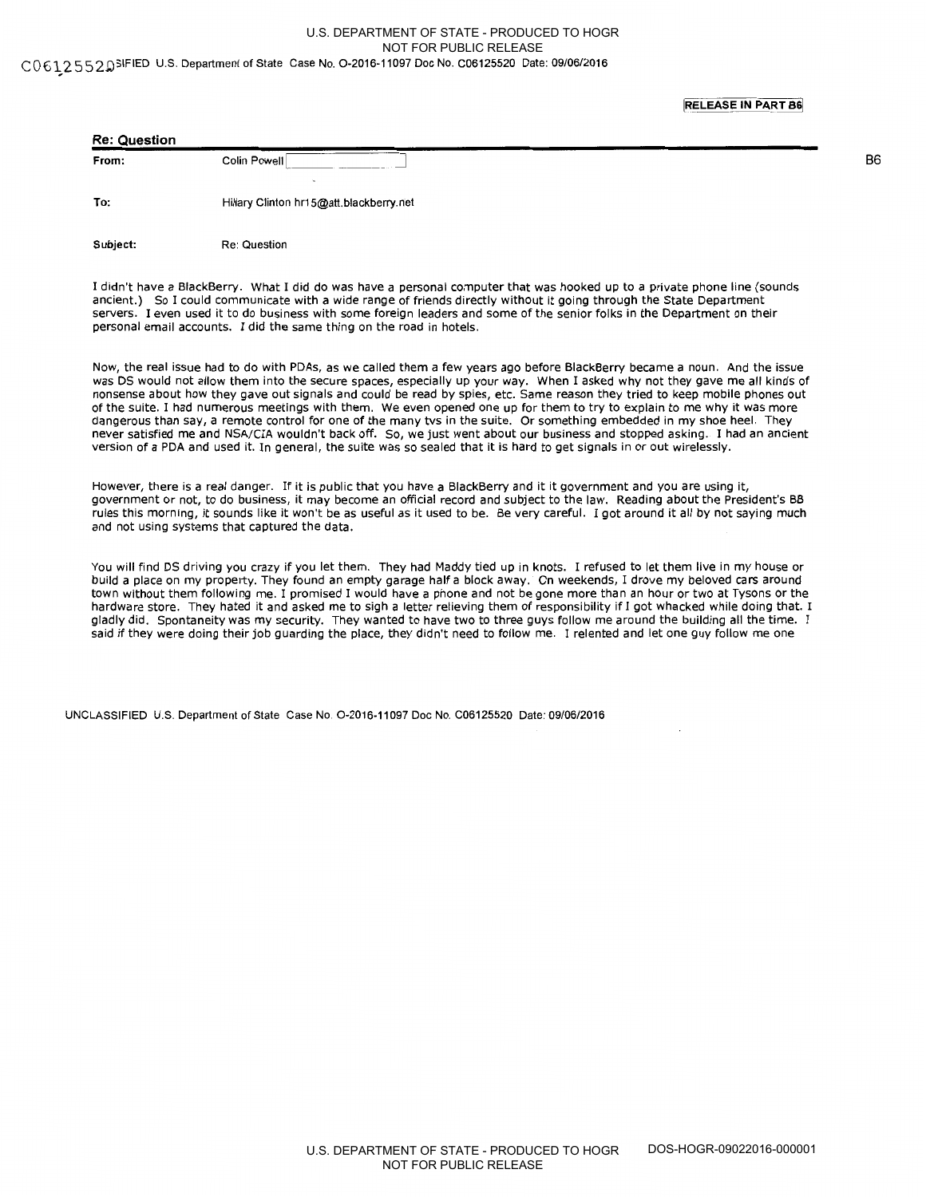## $C06125520$ SIFIED U.S. Department of State Case No. O-2016-11097 Doc No. C06125520 Date: 09/06/2016 U.S. DEPARTMENT OF STATE - PRODUCED TO HOGR NOT FOR PUBLIC RELEASE

**RELEASE IN PART B6** 

| <b>Re: Question</b> |                                         |  |
|---------------------|-----------------------------------------|--|
| From:               | Colin Powell                            |  |
|                     |                                         |  |
| To:                 | Hillary Clinton hr15@att.blackberry.net |  |

Subject: Re: Question

I didn't have a BlackBerry. What I did do was have a personal computer that was hooked up to a private phone line (sounds ancient.) So I could communicate with a wide range of friends directly without it going through the State Department servers. I even used it to do business with some foreign leaders and some of the senior folks in the Department on their personal email accounts. I did the same thing on the road in hotels.

Now, the real issue had to do with PDAs, as we called them a few years ago before BlackBerry became a noun. And the issue was DS would not allow them into the secure spaces, especially up your way. When I asked why not they gave me all kinds of nonsense about how they gave out signals and could be read by spies, etc. Same reason they tried to keep mobile phones out of the suite. I had numerous meetings with them. We even opened one up for them to try to explain to me why it was more dangerous than say, a remote control for one of the many tvs in the suite. Or something embedded in my shoe heel. They never satisfied me and NSA/CIA wouldn't back off. So, we just went about our business and stopped asking. I had an ancient version of a PDA and used it. In general, the suite was so sealed that it is hard to get signals in or out wirelessly.

However, there is a real danger. If it is public that you have a BlackBerry and it it government and you are using it, government or not, to do business, it may become an official record and subject to the law. Reading about the President's BB rules this morning, it sounds like it won't be as useful as it used to be. Be very careful. I got around it all by not saying much and not using systems that captured the data.

You will find DS driving you crazy if you let them. They had Maddy tied up in knots. I refused to let them live in my house or build a place on my property. They found an empty garage half a block away. On weekends, I drove my beloved cars around town without them following me. I promised I would have a phone and not be gone more than an hour or two at Tysons or the hardware store. They hated it and asked me to sigh a letter relieving them of responsibility if I got whacked while doing that. I gladly did. Spontaneity was my security. They wanted to have two to three guys follow me around the building all the time. I said if they were doing their job guarding the place, they didn't need to follow me. I relented and let one guy follow me one

UNCLASSIFIED U.S. Department of State Case No. 0-2016-11097 Doc No. C06125520 Date: 09/06/2016

86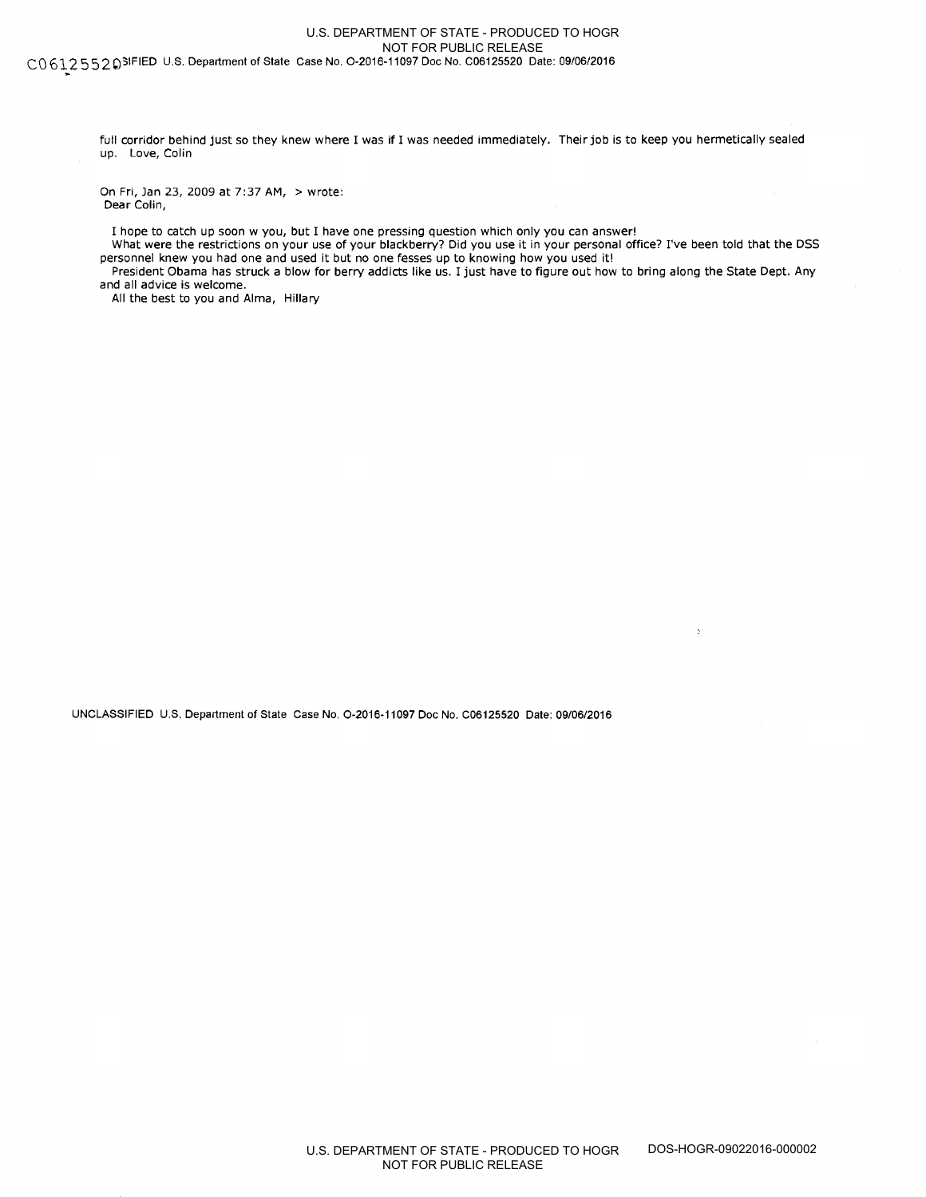## C 0 612 55 2 Q 31FIED U.S. Department of State Case No. 0-2016-11097 Doc No. C06125520 Date: 09/06/2016 U.S. DEPARTMENT OF STATE - PRODUCED TO HOGR NOT FOR PUBLIC RELEASE

full corridor behind just so they knew where I was if I was needed immediately. Their job is to keep you hermetically sealed up. Love, Colin

On Fri, Jan 23, 2009 at 7:37AM, > wrote: Dear Colin,

I hope to catch up soon w you, but I have one pressing question which only you can answer!

What were the restrictions on your use of your blackberry? Did you use it in your personal office? I've been told that the DSS personnel knew you had one and used it but no one fesses up to knowing how you used it!

President Obama has struck a blow for berry addicts like us. I just have to figure out how to bring along the State Dept. Any and all advice is welcome.

All the best to you and Alma, Hillary

UNCLASSIFIED U.S. Department of State Case No. 0-2016-11097 Doc No. C06125520 Date: 09/06/2016

 $\ddot{\phantom{0}}$